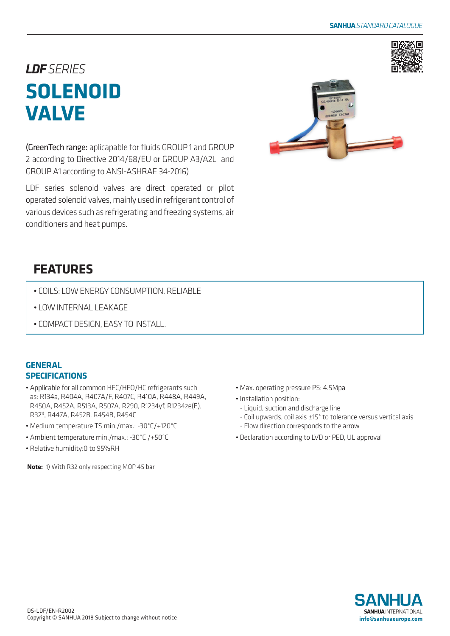

# *LDFSERIES* **SOLENOID VALVE**

(GreenTech range: aplicapable for fluids GROUP 1 and GROUP 2 according to Directive 2014/68/EU or GROUP A3/A2L and GROUP A1 according to ANSI-ASHRAE 34-2016)

LDF series solenoid valves are direct operated or pilot operated solenoid valves, mainly used in refrigerant control of various devices such as refrigerating and freezing systems, air conditioners and heat pumps.



## **FEATURES**

- COILS: LOW ENERGY CONSUMPTION, RELIABLE
- LOW INTERNAL LEAKAGE
- COMPACT DESIGN, EASY TO INSTALL.

### **GENERAL SPECIFICATIONS**

- Applicable for all common HFC/HFO/HC refrigerants such as: R134a, R404A, R407A/F, R407C, R410A, R448A, R449A, R450A, R452A, R513A, R507A, R290, R1234yf, R1234ze(E), R321), R447A, R452B, R454B, R454C
- Medium temperature TS min./max.: -30°C/+120°C
- Ambient temperature min./max.: -30°C /+50°C
- Relative humidity:0 to 95%RH

**Note:** 1) With R32 only respecting MOP 45 bar

- Max. operating pressure PS: 4.5Mpa
- Installation position:
	- Liquid, suction and discharge line
- Coil upwards, coil axis ±15° to tolerance versus vertical axis - Flow direction corresponds to the arrow
- Declaration according to LVD or PED, UL approval

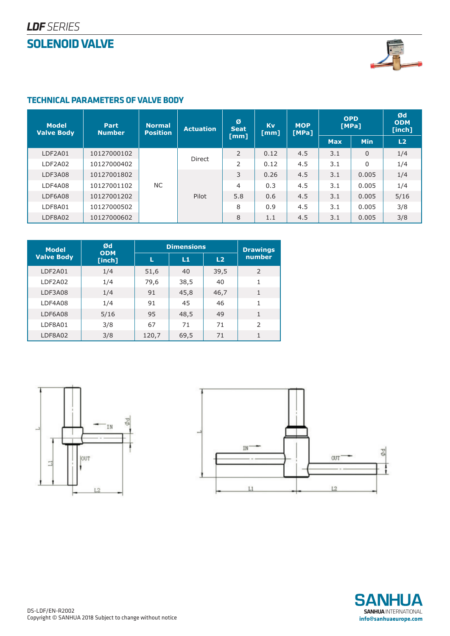### **SOLENOID VALVE**



### **TECHNICAL PARAMETERS OF VALVE BODY**

| <b>Model</b><br><b>Valve Body</b> | Part<br><b>Number</b> | <b>Normal</b><br><b>Position</b> | <b>Actuation</b> | Ø<br>Seat<br>[mm] | <b>Kv</b><br>[mm] | <b>MOP</b><br>[MPa] | <b>OPD</b><br>[MPa] |                | Ød<br><b>ODM</b><br>[inch] |
|-----------------------------------|-----------------------|----------------------------------|------------------|-------------------|-------------------|---------------------|---------------------|----------------|----------------------------|
|                                   |                       |                                  |                  |                   |                   |                     | <b>Max</b>          | <b>Min</b>     | L2                         |
| LDF2A01                           | 10127000102           | <b>NC</b>                        | Direct<br>Pilot  | $\overline{2}$    | 0.12              | 4.5                 | 3.1                 | $\overline{0}$ | 1/4                        |
| LDF2A02                           | 10127000402           |                                  |                  | 2                 | 0.12              | 4.5                 | 3.1                 | 0              | 1/4                        |
| LDF3A08                           | 10127001802           |                                  |                  | 3                 | 0.26              | 4.5                 | 3.1                 | 0.005          | 1/4                        |
| LDF4A08                           | 10127001102           |                                  |                  | 4                 | 0.3               | 4.5                 | 3.1                 | 0.005          | 1/4                        |
| LDF6A08                           | 10127001202           |                                  |                  | 5.8               | 0.6               | 4.5                 | 3.1                 | 0.005          | 5/16                       |
| LDF8A01                           | 10127000502           |                                  |                  | 8                 | 0.9               | 4.5                 | 3.1                 | 0.005          | 3/8                        |
| LDF8A02                           | 10127000602           |                                  |                  | 8                 | 1.1               | 4.5                 | 3.1                 | 0.005          | 3/8                        |

| <b>Model</b>      | Ød                   | <b>Dimensions</b> | <b>Drawings</b> |                |                |  |
|-------------------|----------------------|-------------------|-----------------|----------------|----------------|--|
| <b>Valve Body</b> | <b>ODM</b><br>[inch] | L1<br>L           |                 | L <sub>2</sub> | number         |  |
| LDF2A01           | 1/4                  | 51,6              | 40              | 39,5           | $\overline{2}$ |  |
| LDF2A02           | 1/4                  | 79,6              | 38,5            | 40             | 1              |  |
| LDF3A08           | 1/4                  | 91                | 45,8            | 46,7           | 1              |  |
| LDF4A08           | 1/4                  | 91                | 45              | 46             | 1              |  |
| LDF6A08           | 5/16                 | 95                | 48,5            | 49             | 1              |  |
| LDF8A01           | 3/8                  | 67                | 71              | 71             | $\mathcal{P}$  |  |
| LDF8A02           | 3/8                  | 120,7             | 69,5            | 71             | 1              |  |